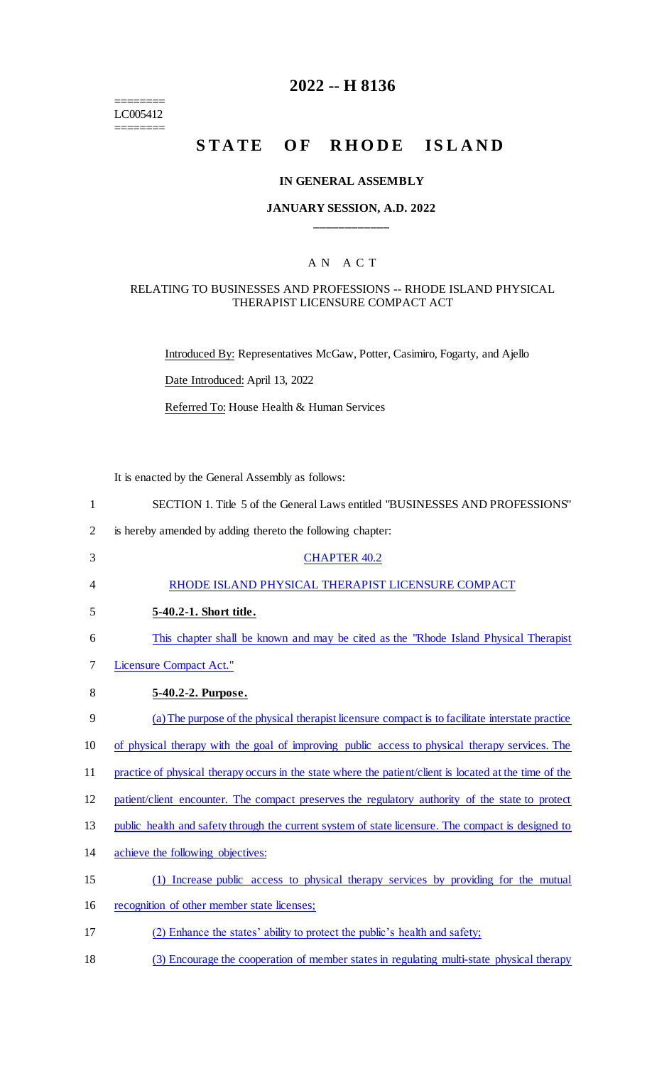$\begin{tabular}{ll} \multicolumn{2}{l}{{\small\textrm{\texttt{}}}}} & \multicolumn{2}{l}{\small\textrm{\texttt{}}}} & \multicolumn{2}{l}{\small\textrm{\texttt{}}}} & \multicolumn{2}{l}{\small\textrm{\texttt{}}}} \\ & \multicolumn{2}{l}{\small\textrm{\texttt{}}}} & \multicolumn{2}{l}{\small\textrm{\texttt{}}}} & \multicolumn{2}{l}{\small\textrm{\texttt{}}}} & \multicolumn{2}{l}{\small\textrm{\texttt{}}}} & \multicolumn{2}{l}{\small\textrm{\texttt{}}}} \\ & \multicolumn{2}{l}{\small\textrm{\texttt{}}}}$ LC005412 ========

## **2022 -- H 8136**

# **STATE OF RHODE ISLAND**

#### **IN GENERAL ASSEMBLY**

### **JANUARY SESSION, A.D. 2022 \_\_\_\_\_\_\_\_\_\_\_\_**

### A N A C T

#### RELATING TO BUSINESSES AND PROFESSIONS -- RHODE ISLAND PHYSICAL THERAPIST LICENSURE COMPACT ACT

Introduced By: Representatives McGaw, Potter, Casimiro, Fogarty, and Ajello

Date Introduced: April 13, 2022

Referred To: House Health & Human Services

It is enacted by the General Assembly as follows:

| 1              | SECTION 1. Title 5 of the General Laws entitled "BUSINESSES AND PROFESSIONS"                            |
|----------------|---------------------------------------------------------------------------------------------------------|
| $\overline{2}$ | is hereby amended by adding thereto the following chapter:                                              |
| 3              | <b>CHAPTER 40.2</b>                                                                                     |
| 4              | RHODE ISLAND PHYSICAL THERAPIST LICENSURE COMPACT                                                       |
| 5              | 5-40.2-1. Short title.                                                                                  |
| 6              | This chapter shall be known and may be cited as the "Rhode Island Physical Therapist"                   |
| 7              | <b>Licensure Compact Act."</b>                                                                          |
| 8              | 5-40.2-2. Purpose.                                                                                      |
| 9              | (a) The purpose of the physical therapist licensure compact is to facilitate interstate practice        |
| 10             | of physical therapy with the goal of improving public access to physical therapy services. The          |
| 11             | practice of physical therapy occurs in the state where the patient/client is located at the time of the |
| 12             | patient/client encounter. The compact preserves the regulatory authority of the state to protect        |
| 13             | public health and safety through the current system of state licensure. The compact is designed to      |
| 14             | achieve the following objectives:                                                                       |
| 15             | (1) Increase public access to physical therapy services by providing for the mutual                     |
| 16             | recognition of other member state licenses;                                                             |
| 17             | (2) Enhance the states' ability to protect the public's health and safety;                              |

18 (3) Encourage the cooperation of member states in regulating multi-state physical therapy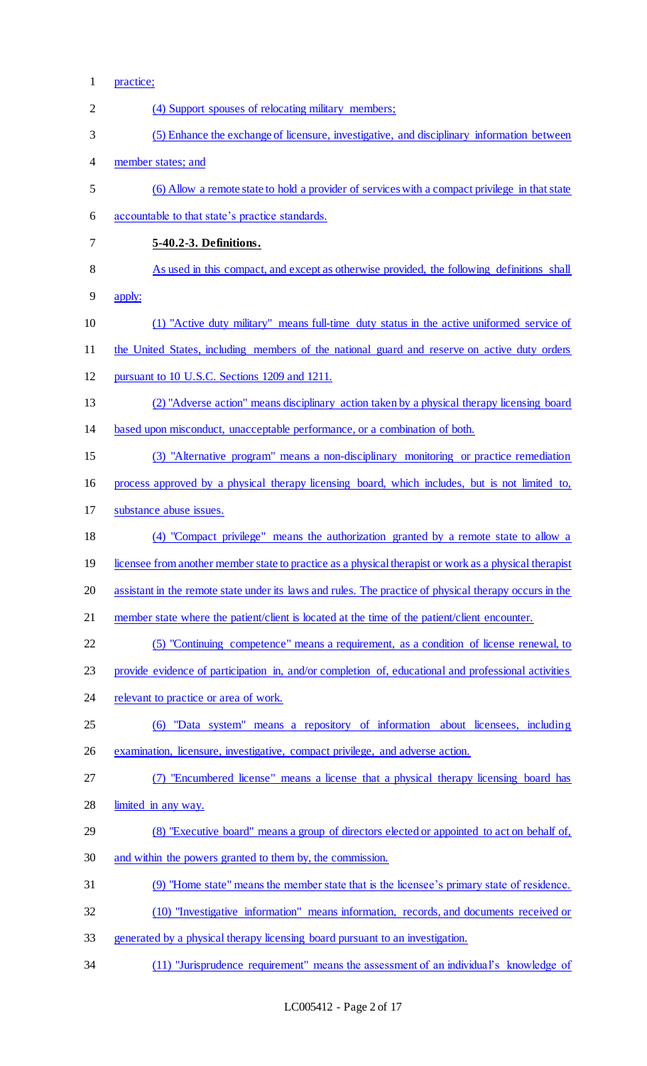practice;

| $\mathbf{2}$ | (4) Support spouses of relocating military members;                                                    |
|--------------|--------------------------------------------------------------------------------------------------------|
| 3            | (5) Enhance the exchange of licensure, investigative, and disciplinary information between             |
| 4            | member states; and                                                                                     |
| 5            | (6) Allow a remote state to hold a provider of services with a compact privilege in that state         |
| 6            | accountable to that state's practice standards.                                                        |
| 7            | 5-40.2-3. Definitions.                                                                                 |
| 8            | As used in this compact, and except as otherwise provided, the following definitions shall             |
| 9            | apply:                                                                                                 |
| 10           | (1) "Active duty military" means full-time duty status in the active uniformed service of              |
| 11           | the United States, including members of the national guard and reserve on active duty orders           |
| 12           | pursuant to 10 U.S.C. Sections 1209 and 1211.                                                          |
| 13           | (2) "Adverse action" means disciplinary action taken by a physical therapy licensing board             |
| 14           | based upon misconduct, unacceptable performance, or a combination of both.                             |
| 15           | (3) "Alternative program" means a non-disciplinary monitoring or practice remediation                  |
| 16           | process approved by a physical therapy licensing board, which includes, but is not limited to,         |
| 17           | substance abuse issues.                                                                                |
| 18           | (4) "Compact privilege" means the authorization granted by a remote state to allow a                   |
| 19           | licensee from another member state to practice as a physical therapist or work as a physical therapist |
| 20           | assistant in the remote state under its laws and rules. The practice of physical therapy occurs in the |
| 21           | member state where the patient/client is located at the time of the patient/client encounter.          |
| 22           | (5) "Continuing competence" means a requirement, as a condition of license renewal, to                 |
| 23           | provide evidence of participation in, and/or completion of, educational and professional activities    |
| 24           | relevant to practice or area of work.                                                                  |
| 25           | (6) "Data system" means a repository of information about licensees, including                         |
| 26           | examination, licensure, investigative, compact privilege, and adverse action.                          |
| 27           | (7) "Encumbered license" means a license that a physical therapy licensing board has                   |
| 28           | limited in any way.                                                                                    |
| 29           | (8) "Executive board" means a group of directors elected or appointed to act on behalf of,             |
| 30           | and within the powers granted to them by, the commission.                                              |
| 31           | (9) "Home state" means the member state that is the licensee's primary state of residence.             |
| 32           | (10) "Investigative information" means information, records, and documents received or                 |
| 33           | generated by a physical therapy licensing board pursuant to an investigation.                          |
| 34           | (11) "Jurisprudence requirement" means the assessment of an individual's knowledge of                  |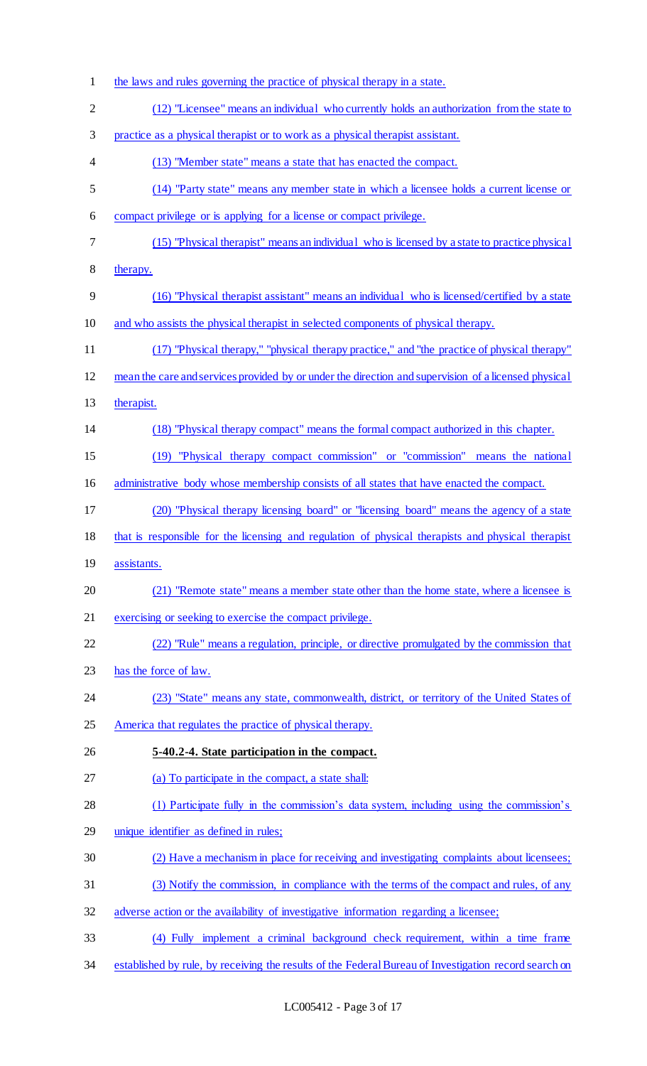the laws and rules governing the practice of physical therapy in a state. (12) "Licensee" means an individual who currently holds an authorization from the state to practice as a physical therapist or to work as a physical therapist assistant. (13) "Member state" means a state that has enacted the compact. (14) "Party state" means any member state in which a licensee holds a current license or compact privilege or is applying for a license or compact privilege. (15) "Physical therapist" means an individual who is licensed by a state to practice physical therapy. (16) "Physical therapist assistant" means an individual who is licensed/certified by a state and who assists the physical therapist in selected components of physical therapy. (17) "Physical therapy," "physical therapy practice," and "the practice of physical therapy" mean the care and services provided by or under the direction and supervision of a licensed physical 13 therapist. (18) "Physical therapy compact" means the formal compact authorized in this chapter. (19) "Physical therapy compact commission" or "commission" means the national 16 administrative body whose membership consists of all states that have enacted the compact. (20) "Physical therapy licensing board" or "licensing board" means the agency of a state that is responsible for the licensing and regulation of physical therapists and physical therapist assistants. (21) "Remote state" means a member state other than the home state, where a licensee is exercising or seeking to exercise the compact privilege. (22) "Rule" means a regulation, principle, or directive promulgated by the commission that has the force of law. (23) "State" means any state, commonwealth, district, or territory of the United States of America that regulates the practice of physical therapy. **5-40.2-4. State participation in the compact.**  (a) To participate in the compact, a state shall: 28 (1) Participate fully in the commission's data system, including using the commission's unique identifier as defined in rules; (2) Have a mechanism in place for receiving and investigating complaints about licensees; (3) Notify the commission, in compliance with the terms of the compact and rules, of any adverse action or the availability of investigative information regarding a licensee; (4) Fully implement a criminal background check requirement, within a time frame established by rule, by receiving the results of the Federal Bureau of Investigation record search on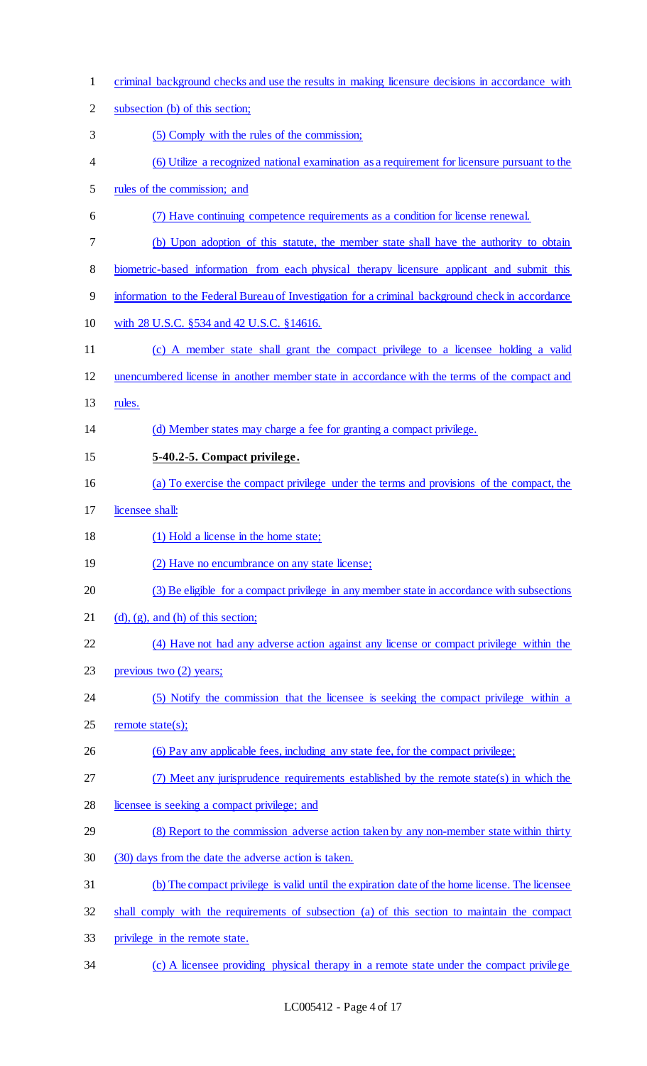| $\mathbf{1}$   | criminal background checks and use the results in making licensure decisions in accordance with  |
|----------------|--------------------------------------------------------------------------------------------------|
| $\overline{2}$ | subsection (b) of this section;                                                                  |
| 3              | (5) Comply with the rules of the commission;                                                     |
| 4              | (6) Utilize a recognized national examination as a requirement for licensure pursuant to the     |
| 5              | rules of the commission; and                                                                     |
| 6              | (7) Have continuing competence requirements as a condition for license renewal.                  |
| 7              | (b) Upon adoption of this statute, the member state shall have the authority to obtain           |
| $8\,$          | biometric-based information from each physical therapy licensure applicant and submit this       |
| 9              | information to the Federal Bureau of Investigation for a criminal background check in accordance |
| 10             | with 28 U.S.C. §534 and 42 U.S.C. §14616.                                                        |
| 11             | (c) A member state shall grant the compact privilege to a licensee holding a valid               |
| 12             | unencumbered license in another member state in accordance with the terms of the compact and     |
| 13             | rules.                                                                                           |
| 14             | (d) Member states may charge a fee for granting a compact privilege.                             |
| 15             | 5-40.2-5. Compact privilege.                                                                     |
| 16             | (a) To exercise the compact privilege under the terms and provisions of the compact, the         |
| 17             | licensee shall:                                                                                  |
| 18             | (1) Hold a license in the home state;                                                            |
| 19             | (2) Have no encumbrance on any state license;                                                    |
| 20             | (3) Be eligible for a compact privilege in any member state in accordance with subsections       |
| 21             | $(d)$ , $(g)$ , and $(h)$ of this section;                                                       |
| 22             | (4) Have not had any adverse action against any license or compact privilege within the          |
| 23             | previous two (2) years;                                                                          |
| 24             | (5) Notify the commission that the licensee is seeking the compact privilege within a            |
| 25             | remote state $(s)$ ;                                                                             |
| 26             | (6) Pay any applicable fees, including any state fee, for the compact privilege;                 |
| 27             | (7) Meet any jurisprudence requirements established by the remote state(s) in which the          |
| 28             | licensee is seeking a compact privilege; and                                                     |
| 29             | (8) Report to the commission adverse action taken by any non-member state within thirty          |
| 30             | (30) days from the date the adverse action is taken.                                             |
| 31             | (b) The compact privilege is valid until the expiration date of the home license. The licensee   |
| 32             | shall comply with the requirements of subsection (a) of this section to maintain the compact     |
| 33             | privilege in the remote state.                                                                   |
| 34             | (c) A licensee providing physical therapy in a remote state under the compact privilege          |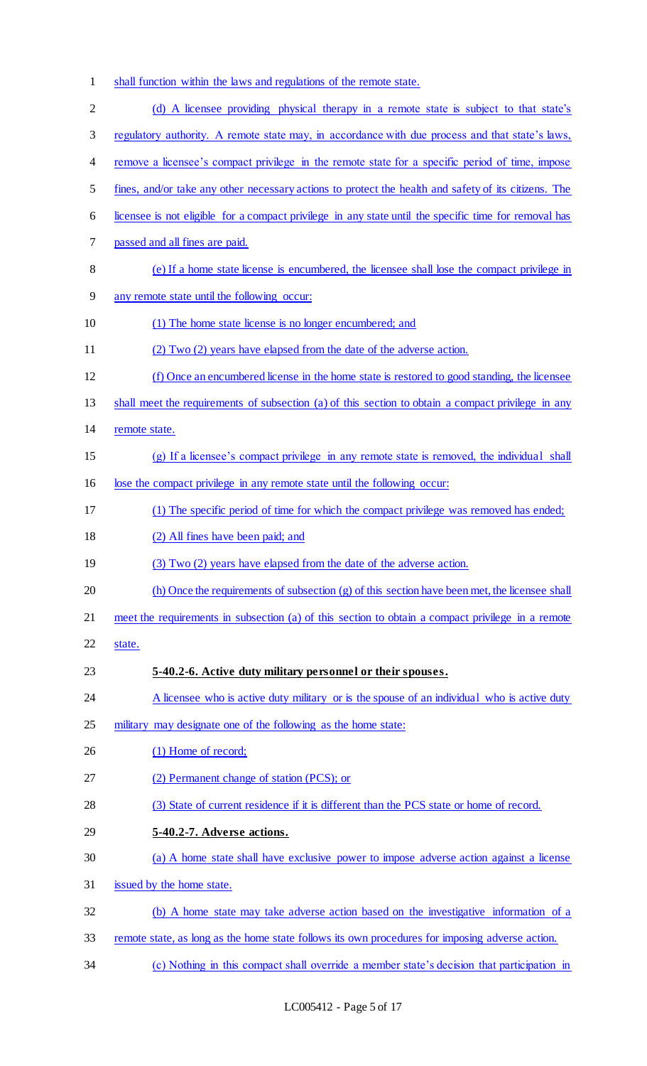- shall function within the laws and regulations of the remote state.
- 2 (d) A licensee providing physical therapy in a remote state is subject to that state's regulatory authority. A remote state may, in accordance with due process and that state's laws, 4 remove a licensee's compact privilege in the remote state for a specific period of time, impose fines, and/or take any other necessary actions to protect the health and safety of its citizens. The licensee is not eligible for a compact privilege in any state until the specific time for removal has passed and all fines are paid. (e) If a home state license is encumbered, the licensee shall lose the compact privilege in any remote state until the following occur: (1) The home state license is no longer encumbered; and (2) Two (2) years have elapsed from the date of the adverse action. (f) Once an encumbered license in the home state is restored to good standing, the licensee shall meet the requirements of subsection (a) of this section to obtain a compact privilege in any remote state. (g) If a licensee's compact privilege in any remote state is removed, the individual shall lose the compact privilege in any remote state until the following occur: (1) The specific period of time for which the compact privilege was removed has ended; 18 (2) All fines have been paid; and 19 (3) Two (2) years have elapsed from the date of the adverse action. (h) Once the requirements of subsection (g) of this section have been met, the licensee shall meet the requirements in subsection (a) of this section to obtain a compact privilege in a remote state. **5-40.2-6. Active duty military personnel or their spouses.**  24 A licensee who is active duty military or is the spouse of an individual who is active duty military may designate one of the following as the home state: 26 (1) Home of record; (2) Permanent change of station (PCS); or (3) State of current residence if it is different than the PCS state or home of record. **5-40.2-7. Adverse actions.**  (a) A home state shall have exclusive power to impose adverse action against a license issued by the home state. (b) A home state may take adverse action based on the investigative information of a remote state, as long as the home state follows its own procedures for imposing adverse action.
- (c) Nothing in this compact shall override a member state's decision that participation in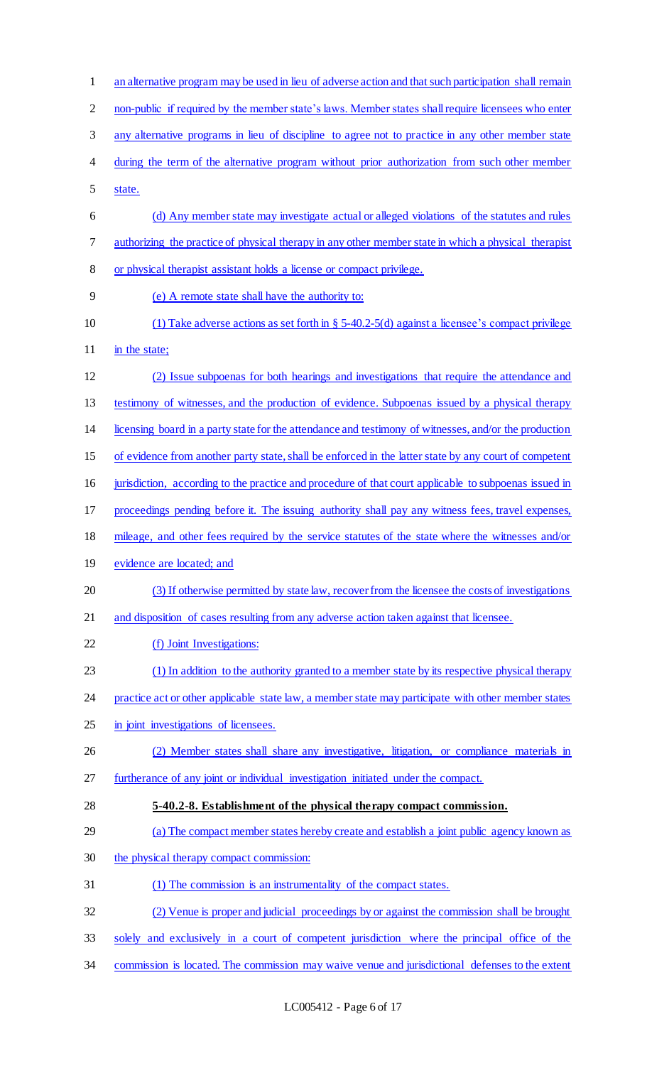| $\mathbf{1}$   | an alternative program may be used in lieu of adverse action and that such participation shall remain |
|----------------|-------------------------------------------------------------------------------------------------------|
| $\overline{2}$ | non-public if required by the member state's laws. Member states shall require licensees who enter    |
| 3              | any alternative programs in lieu of discipline to agree not to practice in any other member state     |
| 4              | during the term of the alternative program without prior authorization from such other member         |
| 5              | state.                                                                                                |
| 6              | (d) Any member state may investigate actual or alleged violations of the statutes and rules           |
| 7              | authorizing the practice of physical therapy in any other member state in which a physical therapist  |
| 8              | or physical therapist assistant holds a license or compact privilege.                                 |
| 9              | (e) A remote state shall have the authority to:                                                       |
| 10             | (1) Take adverse actions as set forth in § 5-40.2-5(d) against a licensee's compact privilege         |
| 11             | in the state;                                                                                         |
| 12             | (2) Issue subpoenas for both hearings and investigations that require the attendance and              |
| 13             | testimony of witnesses, and the production of evidence. Subpoenas issued by a physical therapy        |
| 14             | licensing board in a party state for the attendance and testimony of witnesses, and/or the production |
| 15             | of evidence from another party state, shall be enforced in the latter state by any court of competent |
| 16             | jurisdiction, according to the practice and procedure of that court applicable to subpoenas issued in |
| 17             | proceedings pending before it. The issuing authority shall pay any witness fees, travel expenses,     |
| 18             | mileage, and other fees required by the service statutes of the state where the witnesses and/or      |
| 19             | evidence are located; and                                                                             |
| 20             | (3) If otherwise permitted by state law, recover from the licensee the costs of investigations        |
| 21             | and disposition of cases resulting from any adverse action taken against that licensee.               |
| 22             | (f) Joint Investigations:                                                                             |
| 23             | (1) In addition to the authority granted to a member state by its respective physical therapy         |
| 24             | practice act or other applicable state law, a member state may participate with other member states   |
| 25             | in joint investigations of licensees.                                                                 |
| 26             | (2) Member states shall share any investigative, litigation, or compliance materials in               |
| 27             | furtherance of any joint or individual investigation initiated under the compact.                     |
| 28             | 5-40.2-8. Establishment of the physical therapy compact commission.                                   |
| 29             | (a) The compact member states hereby create and establish a joint public agency known as              |
| 30             | the physical therapy compact commission:                                                              |
| 31             | (1) The commission is an instrumentality of the compact states.                                       |
| 32             | (2) Venue is proper and judicial proceedings by or against the commission shall be brought            |
| 33             | solely and exclusively in a court of competent jurisdiction where the principal office of the         |
| 34             | commission is located. The commission may waive venue and jurisdictional defenses to the extent       |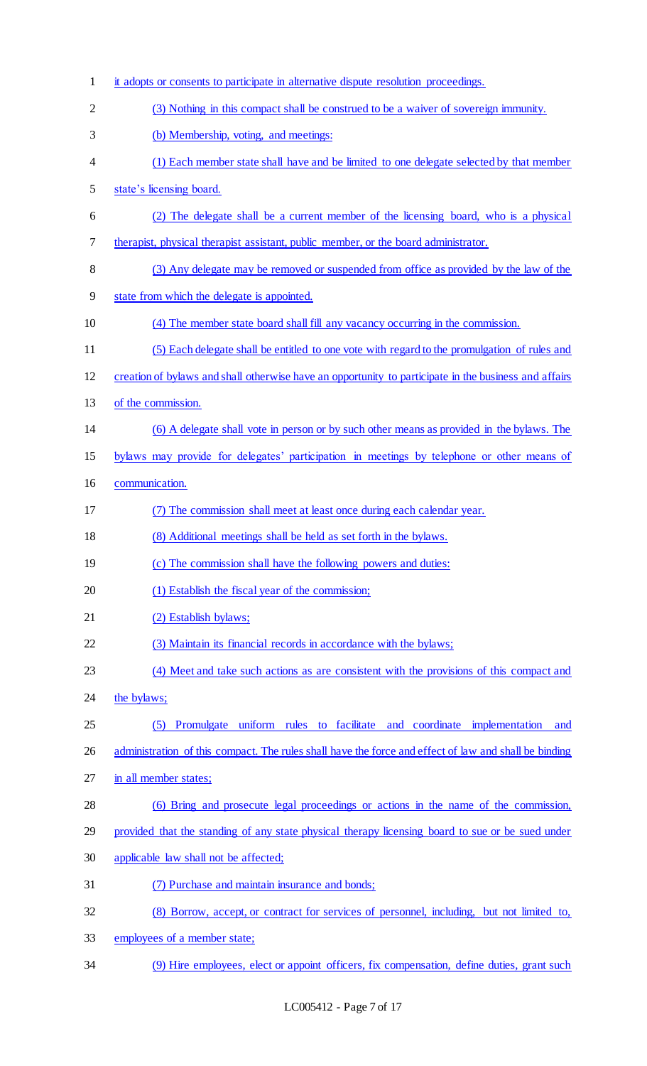- it adopts or consents to participate in alternative dispute resolution proceedings. (3) Nothing in this compact shall be construed to be a waiver of sovereign immunity. (b) Membership, voting, and meetings: (1) Each member state shall have and be limited to one delegate selected by that member state's licensing board. (2) The delegate shall be a current member of the licensing board, who is a physical therapist, physical therapist assistant, public member, or the board administrator. (3) Any delegate may be removed or suspended from office as provided by the law of the state from which the delegate is appointed. (4) The member state board shall fill any vacancy occurring in the commission. (5) Each delegate shall be entitled to one vote with regard to the promulgation of rules and creation of bylaws and shall otherwise have an opportunity to participate in the business and affairs of the commission. (6) A delegate shall vote in person or by such other means as provided in the bylaws. The bylaws may provide for delegates' participation in meetings by telephone or other means of communication. (7) The commission shall meet at least once during each calendar year. (8) Additional meetings shall be held as set forth in the bylaws. 19 (c) The commission shall have the following powers and duties: (1) Establish the fiscal year of the commission; (2) Establish bylaws; (3) Maintain its financial records in accordance with the bylaws; (4) Meet and take such actions as are consistent with the provisions of this compact and 24 the bylaws; (5) Promulgate uniform rules to facilitate and coordinate implementation and administration of this compact. The rules shall have the force and effect of law and shall be binding in all member states; (6) Bring and prosecute legal proceedings or actions in the name of the commission, provided that the standing of any state physical therapy licensing board to sue or be sued under applicable law shall not be affected; (7) Purchase and maintain insurance and bonds; (8) Borrow, accept, or contract for services of personnel, including, but not limited to, employees of a member state;
- (9) Hire employees, elect or appoint officers, fix compensation, define duties, grant such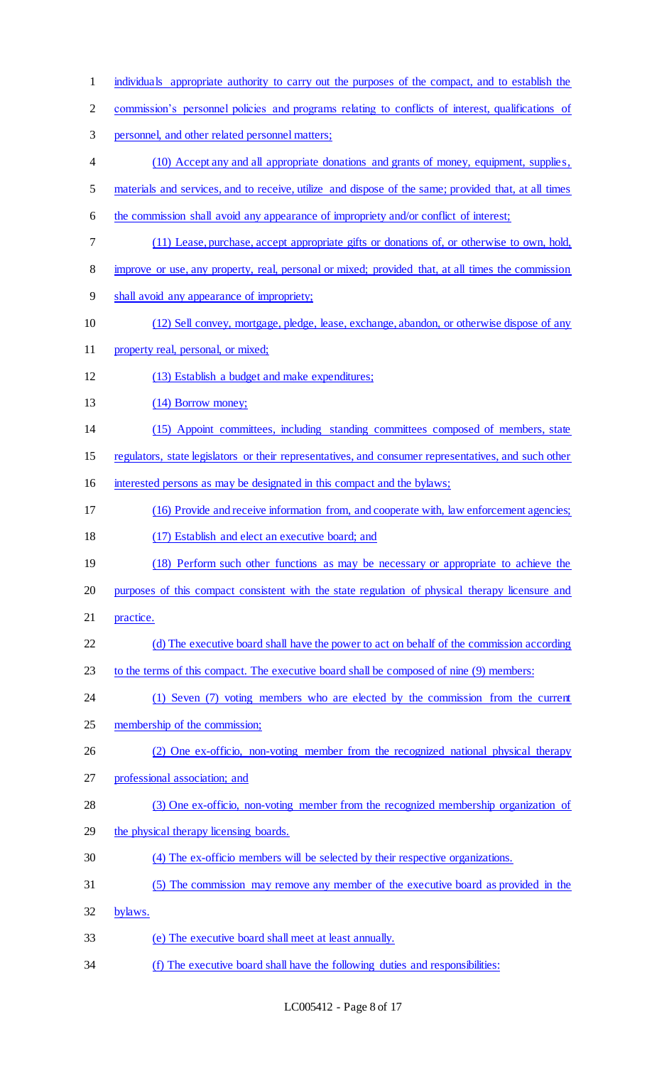- individuals appropriate authority to carry out the purposes of the compact, and to establish the
- commission's personnel policies and programs relating to conflicts of interest, qualifications of
- personnel, and other related personnel matters;
- 4 (10) Accept any and all appropriate donations and grants of money, equipment, supplies,
- materials and services, and to receive, utilize and dispose of the same; provided that, at all times
- 6 the commission shall avoid any appearance of impropriety and/or conflict of interest;
- (11) Lease, purchase, accept appropriate gifts or donations of, or otherwise to own, hold,
- improve or use, any property, real, personal or mixed; provided that, at all times the commission
- shall avoid any appearance of impropriety;
- (12) Sell convey, mortgage, pledge, lease, exchange, abandon, or otherwise dispose of any
- 11 property real, personal, or mixed;
- (13) Establish a budget and make expenditures;
- 13 (14) Borrow money;
- (15) Appoint committees, including standing committees composed of members, state
- regulators, state legislators or their representatives, and consumer representatives, and such other
- interested persons as may be designated in this compact and the bylaws;
- (16) Provide and receive information from, and cooperate with, law enforcement agencies;
- 18 (17) Establish and elect an executive board; and
- (18) Perform such other functions as may be necessary or appropriate to achieve the
- purposes of this compact consistent with the state regulation of physical therapy licensure and
- practice.
- (d) The executive board shall have the power to act on behalf of the commission according
- to the terms of this compact. The executive board shall be composed of nine (9) members:
- (1) Seven (7) voting members who are elected by the commission from the current
- membership of the commission;
- (2) One ex-officio, non-voting member from the recognized national physical therapy
- professional association; and
- (3) One ex-officio, non-voting member from the recognized membership organization of
- the physical therapy licensing boards.
- (4) The ex-officio members will be selected by their respective organizations.
- (5) The commission may remove any member of the executive board as provided in the
- 32 bylaws.
- (e) The executive board shall meet at least annually.
- (f) The executive board shall have the following duties and responsibilities: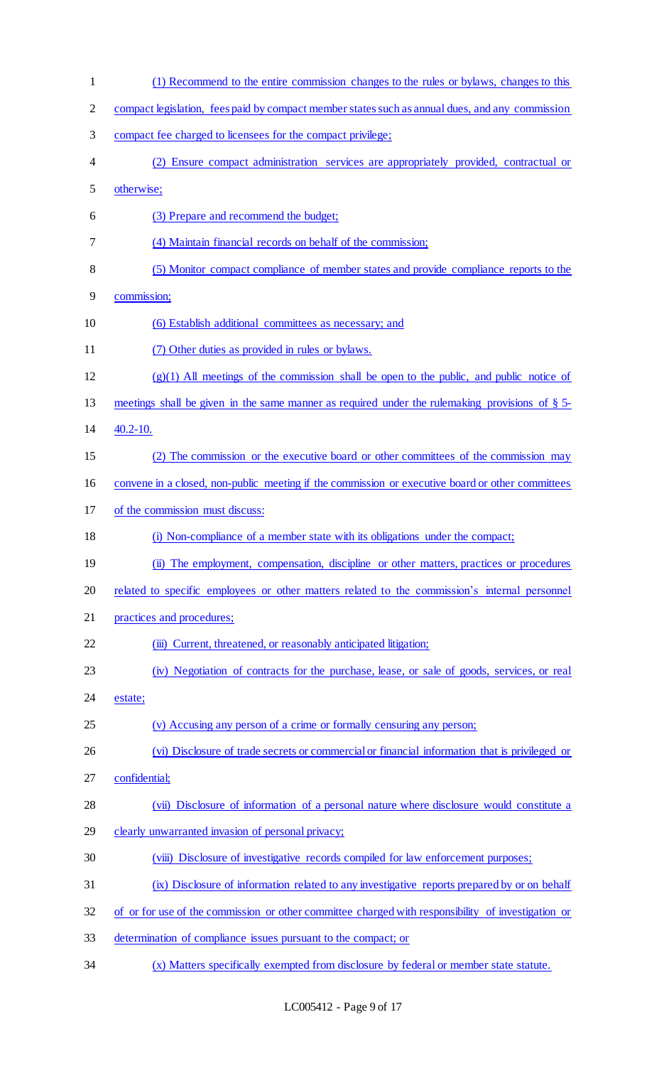- (1) Recommend to the entire commission changes to the rules or bylaws, changes to this 2 compact legislation, fees paid by compact member states such as annual dues, and any commission compact fee charged to licensees for the compact privilege; (2) Ensure compact administration services are appropriately provided, contractual or otherwise; (3) Prepare and recommend the budget; (4) Maintain financial records on behalf of the commission; (5) Monitor compact compliance of member states and provide compliance reports to the commission; (6) Establish additional committees as necessary; and 11 (7) Other duties as provided in rules or bylaws.  $(g)(1)$  All meetings of the commission shall be open to the public, and public notice of meetings shall be given in the same manner as required under the rulemaking provisions of § 5- 40.2-10. (2) The commission or the executive board or other committees of the commission may convene in a closed, non-public meeting if the commission or executive board or other committees of the commission must discuss: (i) Non-compliance of a member state with its obligations under the compact; (ii) The employment, compensation, discipline or other matters, practices or procedures related to specific employees or other matters related to the commission's internal personnel practices and procedures; 22 (iii) Current, threatened, or reasonably anticipated litigation; (iv) Negotiation of contracts for the purchase, lease, or sale of goods, services, or real 24 estate; (v) Accusing any person of a crime or formally censuring any person; (vi) Disclosure of trade secrets or commercial or financial information that is privileged or confidential; (vii) Disclosure of information of a personal nature where disclosure would constitute a 29 clearly unwarranted invasion of personal privacy; (viii) Disclosure of investigative records compiled for law enforcement purposes; (ix) Disclosure of information related to any investigative reports prepared by or on behalf of or for use of the commission or other committee charged with responsibility of investigation or determination of compliance issues pursuant to the compact; or
- (x) Matters specifically exempted from disclosure by federal or member state statute.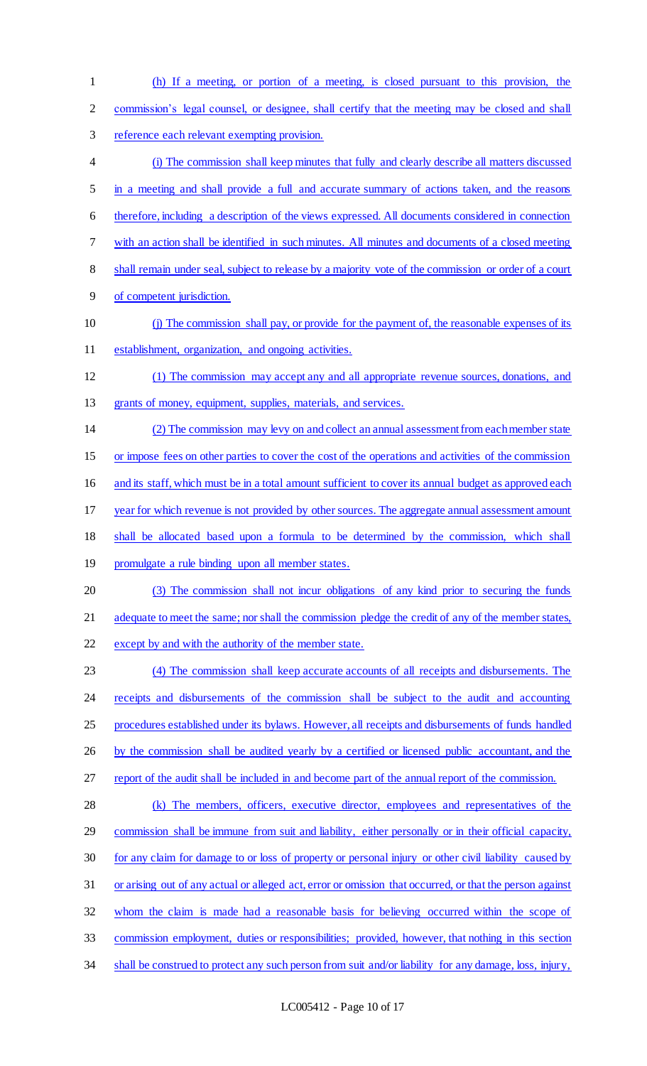(h) If a meeting, or portion of a meeting, is closed pursuant to this provision, the commission's legal counsel, or designee, shall certify that the meeting may be closed and shall reference each relevant exempting provision. (i) The commission shall keep minutes that fully and clearly describe all matters discussed 5 in a meeting and shall provide a full and accurate summary of actions taken, and the reasons therefore, including a description of the views expressed. All documents considered in connection with an action shall be identified in such minutes. All minutes and documents of a closed meeting 8 shall remain under seal, subject to release by a majority vote of the commission or order of a court of competent jurisdiction. (j) The commission shall pay, or provide for the payment of, the reasonable expenses of its establishment, organization, and ongoing activities. (1) The commission may accept any and all appropriate revenue sources, donations, and grants of money, equipment, supplies, materials, and services. (2) The commission may levy on and collect an annual assessment from each member state or impose fees on other parties to cover the cost of the operations and activities of the commission and its staff, which must be in a total amount sufficient to cover its annual budget as approved each year for which revenue is not provided by other sources. The aggregate annual assessment amount shall be allocated based upon a formula to be determined by the commission, which shall 19 promulgate a rule binding upon all member states. (3) The commission shall not incur obligations of any kind prior to securing the funds 21 adequate to meet the same; nor shall the commission pledge the credit of any of the member states, except by and with the authority of the member state. (4) The commission shall keep accurate accounts of all receipts and disbursements. The receipts and disbursements of the commission shall be subject to the audit and accounting procedures established under its bylaws. However, all receipts and disbursements of funds handled by the commission shall be audited yearly by a certified or licensed public accountant, and the report of the audit shall be included in and become part of the annual report of the commission. (k) The members, officers, executive director, employees and representatives of the commission shall be immune from suit and liability, either personally or in their official capacity, for any claim for damage to or loss of property or personal injury or other civil liability caused by or arising out of any actual or alleged act, error or omission that occurred, or that the person against whom the claim is made had a reasonable basis for believing occurred within the scope of commission employment, duties or responsibilities; provided, however, that nothing in this section 34 shall be construed to protect any such person from suit and/or liability for any damage, loss, injury,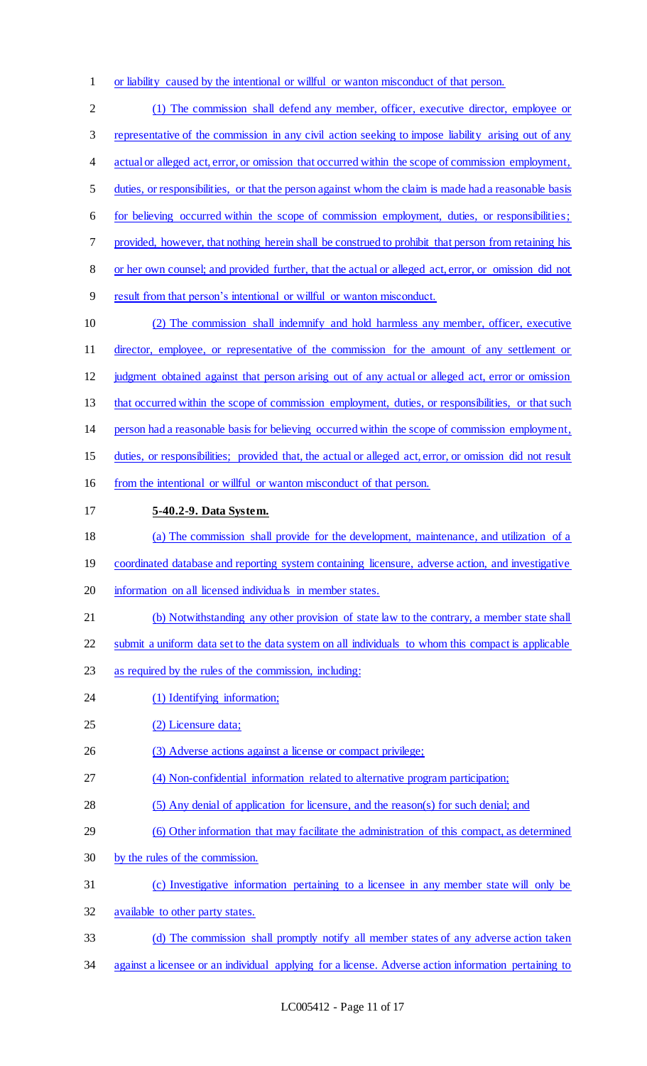or liability caused by the intentional or willful or wanton misconduct of that person.

 (1) The commission shall defend any member, officer, executive director, employee or representative of the commission in any civil action seeking to impose liability arising out of any 4 actual or alleged act, error, or omission that occurred within the scope of commission employment, duties, or responsibilities, or that the person against whom the claim is made had a reasonable basis for believing occurred within the scope of commission employment, duties, or responsibilities; provided, however, that nothing herein shall be construed to prohibit that person from retaining his or her own counsel; and provided further, that the actual or alleged act, error, or omission did not result from that person's intentional or willful or wanton misconduct. (2) The commission shall indemnify and hold harmless any member, officer, executive director, employee, or representative of the commission for the amount of any settlement or judgment obtained against that person arising out of any actual or alleged act, error or omission that occurred within the scope of commission employment, duties, or responsibilities, or that such person had a reasonable basis for believing occurred within the scope of commission employment, 15 duties, or responsibilities; provided that, the actual or alleged act, error, or omission did not result from the intentional or willful or wanton misconduct of that person. **5-40.2-9. Data System.**  (a) The commission shall provide for the development, maintenance, and utilization of a coordinated database and reporting system containing licensure, adverse action, and investigative information on all licensed individuals in member states. (b) Notwithstanding any other provision of state law to the contrary, a member state shall submit a uniform data set to the data system on all individuals to whom this compact is applicable as required by the rules of the commission, including: 24 (1) Identifying information; (2) Licensure data; 26 (3) Adverse actions against a license or compact privilege; (4) Non-confidential information related to alternative program participation; (5) Any denial of application for licensure, and the reason(s) for such denial; and (6) Other information that may facilitate the administration of this compact, as determined by the rules of the commission. (c) Investigative information pertaining to a licensee in any member state will only be available to other party states. (d) The commission shall promptly notify all member states of any adverse action taken against a licensee or an individual applying for a license. Adverse action information pertaining to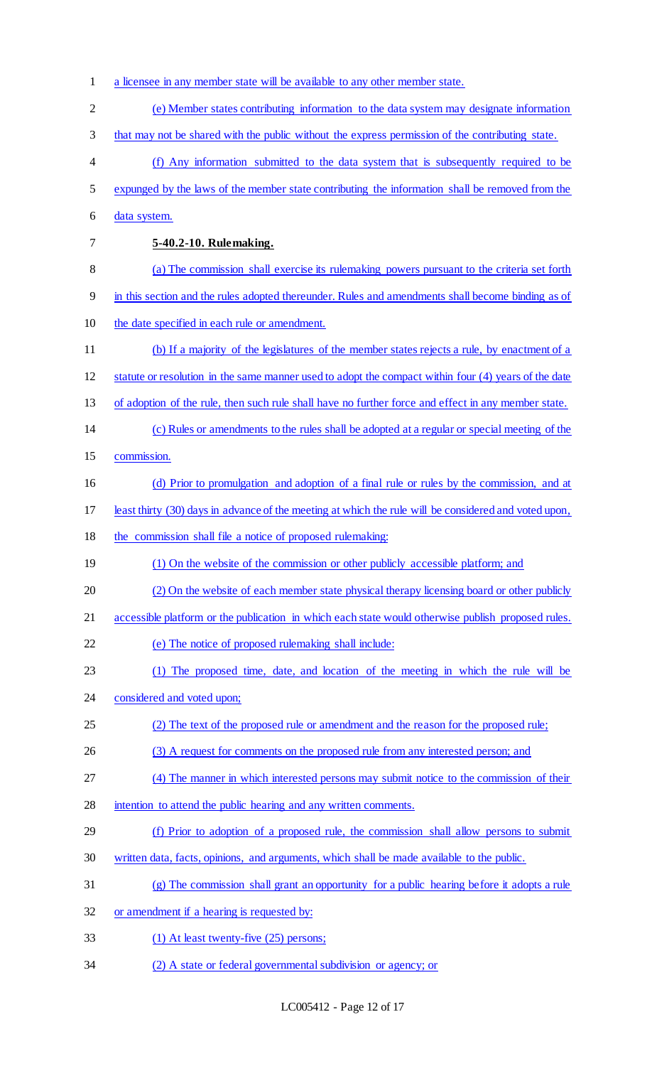a licensee in any member state will be available to any other member state. (e) Member states contributing information to the data system may designate information that may not be shared with the public without the express permission of the contributing state. (f) Any information submitted to the data system that is subsequently required to be expunged by the laws of the member state contributing the information shall be removed from the data system. **5-40.2-10. Rulemaking.**  (a) The commission shall exercise its rulemaking powers pursuant to the criteria set forth in this section and the rules adopted thereunder. Rules and amendments shall become binding as of the date specified in each rule or amendment. (b) If a majority of the legislatures of the member states rejects a rule, by enactment of a statute or resolution in the same manner used to adopt the compact within four (4) years of the date of adoption of the rule, then such rule shall have no further force and effect in any member state. (c) Rules or amendments to the rules shall be adopted at a regular or special meeting of the commission. (d) Prior to promulgation and adoption of a final rule or rules by the commission, and at least thirty (30) days in advance of the meeting at which the rule will be considered and voted upon, the commission shall file a notice of proposed rulemaking: 19 (1) On the website of the commission or other publicly accessible platform; and (2) On the website of each member state physical therapy licensing board or other publicly accessible platform or the publication in which each state would otherwise publish proposed rules. (e) The notice of proposed rulemaking shall include: (1) The proposed time, date, and location of the meeting in which the rule will be considered and voted upon; (2) The text of the proposed rule or amendment and the reason for the proposed rule; 26 (3) A request for comments on the proposed rule from any interested person; and (4) The manner in which interested persons may submit notice to the commission of their intention to attend the public hearing and any written comments. (f) Prior to adoption of a proposed rule, the commission shall allow persons to submit written data, facts, opinions, and arguments, which shall be made available to the public. (g) The commission shall grant an opportunity for a public hearing before it adopts a rule 32 or amendment if a hearing is requested by: (1) At least twenty-five (25) persons; (2) A state or federal governmental subdivision or agency; or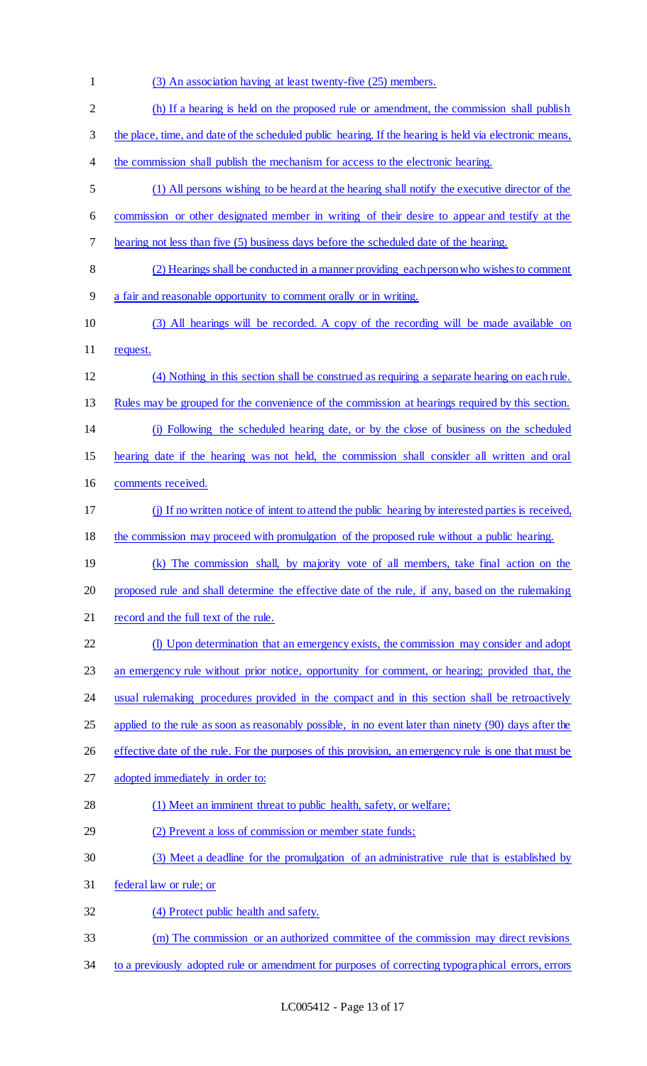(3) An association having at least twenty-five (25) members. (h) If a hearing is held on the proposed rule or amendment, the commission shall publish 3 the place, time, and date of the scheduled public hearing. If the hearing is held via electronic means, 4 the commission shall publish the mechanism for access to the electronic hearing. (1) All persons wishing to be heard at the hearing shall notify the executive director of the commission or other designated member in writing of their desire to appear and testify at the hearing not less than five (5) business days before the scheduled date of the hearing. (2) Hearings shall be conducted in a manner providing each person who wishes to comment a fair and reasonable opportunity to comment orally or in writing. (3) All hearings will be recorded. A copy of the recording will be made available on 11 request. (4) Nothing in this section shall be construed as requiring a separate hearing on each rule. 13 Rules may be grouped for the convenience of the commission at hearings required by this section. (i) Following the scheduled hearing date, or by the close of business on the scheduled hearing date if the hearing was not held, the commission shall consider all written and oral comments received. (j) If no written notice of intent to attend the public hearing by interested parties is received, the commission may proceed with promulgation of the proposed rule without a public hearing. (k) The commission shall, by majority vote of all members, take final action on the 20 proposed rule and shall determine the effective date of the rule, if any, based on the rulemaking 21 record and the full text of the rule. (l) Upon determination that an emergency exists, the commission may consider and adopt an emergency rule without prior notice, opportunity for comment, or hearing; provided that, the usual rulemaking procedures provided in the compact and in this section shall be retroactively 25 applied to the rule as soon as reasonably possible, in no event later than ninety (90) days after the 26 effective date of the rule. For the purposes of this provision, an emergency rule is one that must be adopted immediately in order to: 28 (1) Meet an imminent threat to public health, safety, or welfare; (2) Prevent a loss of commission or member state funds; (3) Meet a deadline for the promulgation of an administrative rule that is established by federal law or rule; or (4) Protect public health and safety. (m) The commission or an authorized committee of the commission may direct revisions to a previously adopted rule or amendment for purposes of correcting typographical errors, errors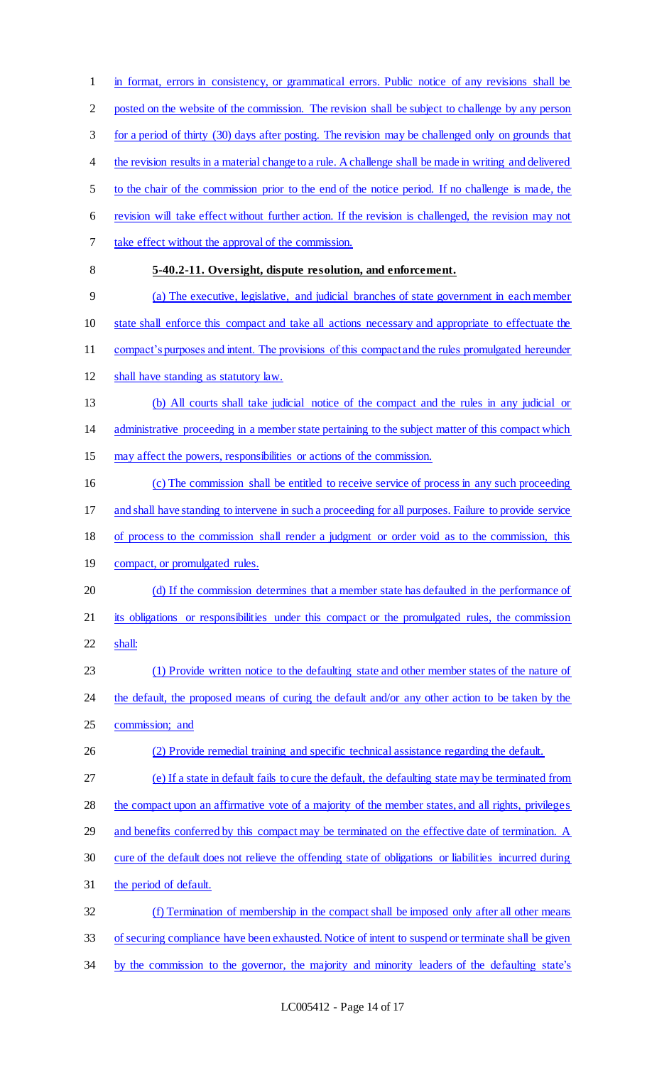in format, errors in consistency, or grammatical errors. Public notice of any revisions shall be 2 posted on the website of the commission. The revision shall be subject to challenge by any person for a period of thirty (30) days after posting. The revision may be challenged only on grounds that 4 the revision results in a material change to a rule. A challenge shall be made in writing and delivered to the chair of the commission prior to the end of the notice period. If no challenge is made, the revision will take effect without further action. If the revision is challenged, the revision may not take effect without the approval of the commission. **5-40.2-11. Oversight, dispute resolution, and enforcement.**  (a) The executive, legislative, and judicial branches of state government in each member state shall enforce this compact and take all actions necessary and appropriate to effectuate the compact's purposes and intent. The provisions of this compact and the rules promulgated hereunder shall have standing as statutory law. (b) All courts shall take judicial notice of the compact and the rules in any judicial or administrative proceeding in a member state pertaining to the subject matter of this compact which may affect the powers, responsibilities or actions of the commission. (c) The commission shall be entitled to receive service of process in any such proceeding and shall have standing to intervene in such a proceeding for all purposes. Failure to provide service of process to the commission shall render a judgment or order void as to the commission, this 19 compact, or promulgated rules. 20 (d) If the commission determines that a member state has defaulted in the performance of its obligations or responsibilities under this compact or the promulgated rules, the commission shall: (1) Provide written notice to the defaulting state and other member states of the nature of 24 the default, the proposed means of curing the default and/or any other action to be taken by the 25 commission; and (2) Provide remedial training and specific technical assistance regarding the default. (e) If a state in default fails to cure the default, the defaulting state may be terminated from the compact upon an affirmative vote of a majority of the member states, and all rights, privileges 29 and benefits conferred by this compact may be terminated on the effective date of termination. A cure of the default does not relieve the offending state of obligations or liabilities incurred during the period of default. (f) Termination of membership in the compact shall be imposed only after all other means of securing compliance have been exhausted. Notice of intent to suspend or terminate shall be given

by the commission to the governor, the majority and minority leaders of the defaulting state's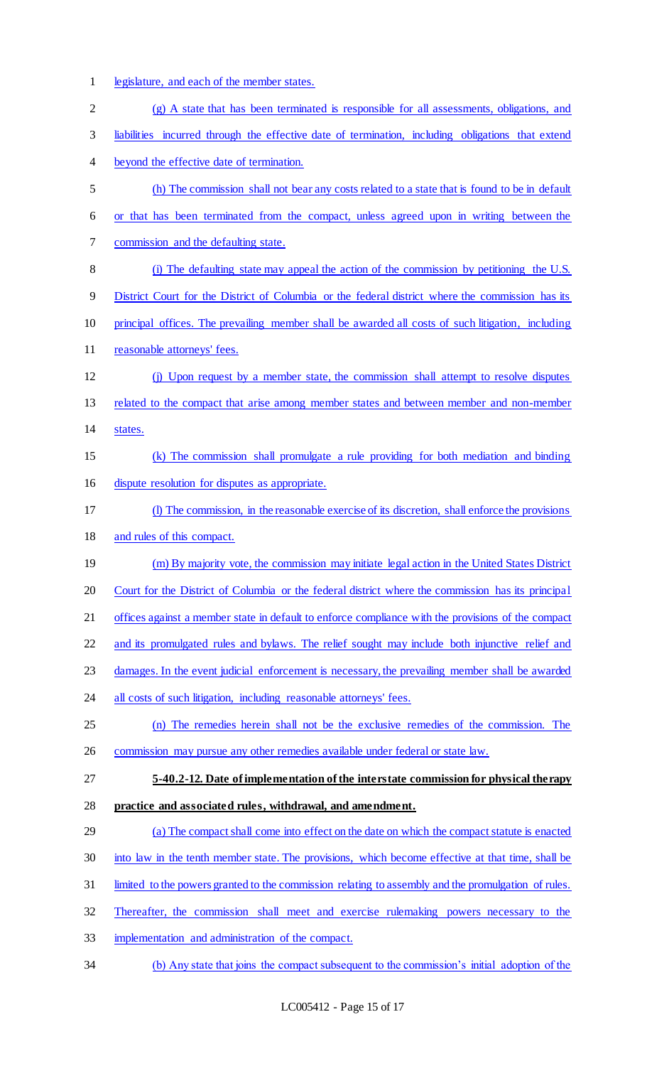legislature, and each of the member states. (g) A state that has been terminated is responsible for all assessments, obligations, and liabilities incurred through the effective date of termination, including obligations that extend beyond the effective date of termination. (h) The commission shall not bear any costs related to a state that is found to be in default or that has been terminated from the compact, unless agreed upon in writing between the commission and the defaulting state. (i) The defaulting state may appeal the action of the commission by petitioning the U.S. District Court for the District of Columbia or the federal district where the commission has its principal offices. The prevailing member shall be awarded all costs of such litigation, including reasonable attorneys' fees. (j) Upon request by a member state, the commission shall attempt to resolve disputes related to the compact that arise among member states and between member and non-member states. (k) The commission shall promulgate a rule providing for both mediation and binding dispute resolution for disputes as appropriate. (l) The commission, in the reasonable exercise of its discretion, shall enforce the provisions and rules of this compact. 19 (m) By majority vote, the commission may initiate legal action in the United States District Court for the District of Columbia or the federal district where the commission has its principal offices against a member state in default to enforce compliance with the provisions of the compact and its promulgated rules and bylaws. The relief sought may include both injunctive relief and damages. In the event judicial enforcement is necessary, the prevailing member shall be awarded 24 all costs of such litigation, including reasonable attorneys' fees. (n) The remedies herein shall not be the exclusive remedies of the commission. The 26 commission may pursue any other remedies available under federal or state law. **5-40.2-12. Date of implementation of the interstate commission for physical therapy practice and associated rules, withdrawal, and amendment.**  (a) The compact shall come into effect on the date on which the compact statute is enacted into law in the tenth member state. The provisions, which become effective at that time, shall be limited to the powers granted to the commission relating to assembly and the promulgation of rules. Thereafter, the commission shall meet and exercise rulemaking powers necessary to the implementation and administration of the compact. (b) Any state that joins the compact subsequent to the commission's initial adoption of the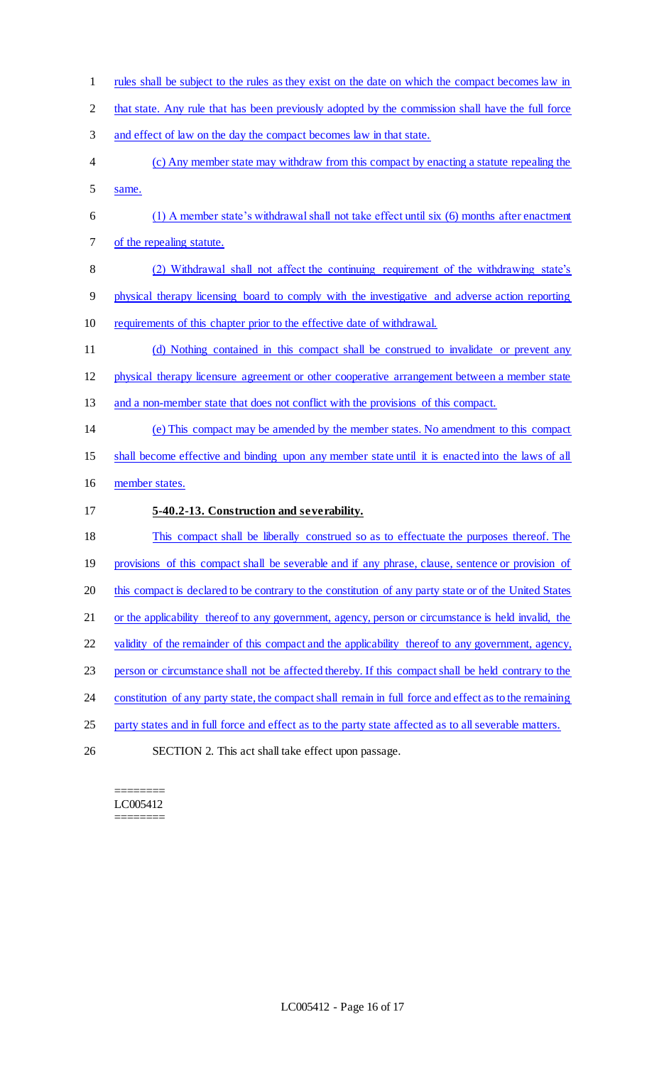rules shall be subject to the rules as they exist on the date on which the compact becomes law in 2 that state. Any rule that has been previously adopted by the commission shall have the full force and effect of law on the day the compact becomes law in that state. (c) Any member state may withdraw from this compact by enacting a statute repealing the same. (1) A member state's withdrawal shall not take effect until six (6) months after enactment of the repealing statute. (2) Withdrawal shall not affect the continuing requirement of the withdrawing state's physical therapy licensing board to comply with the investigative and adverse action reporting requirements of this chapter prior to the effective date of withdrawal. (d) Nothing contained in this compact shall be construed to invalidate or prevent any physical therapy licensure agreement or other cooperative arrangement between a member state and a non-member state that does not conflict with the provisions of this compact. (e) This compact may be amended by the member states. No amendment to this compact shall become effective and binding upon any member state until it is enacted into the laws of all member states. **5-40.2-13. Construction and severability.**  This compact shall be liberally construed so as to effectuate the purposes thereof. The 19 provisions of this compact shall be severable and if any phrase, clause, sentence or provision of 20 this compact is declared to be contrary to the constitution of any party state or of the United States or the applicability thereof to any government, agency, person or circumstance is held invalid, the 22 validity of the remainder of this compact and the applicability thereof to any government, agency, person or circumstance shall not be affected thereby. If this compact shall be held contrary to the 24 constitution of any party state, the compact shall remain in full force and effect as to the remaining 25 party states and in full force and effect as to the party state affected as to all severable matters. SECTION 2. This act shall take effect upon passage.

#### ======== LC005412 ========